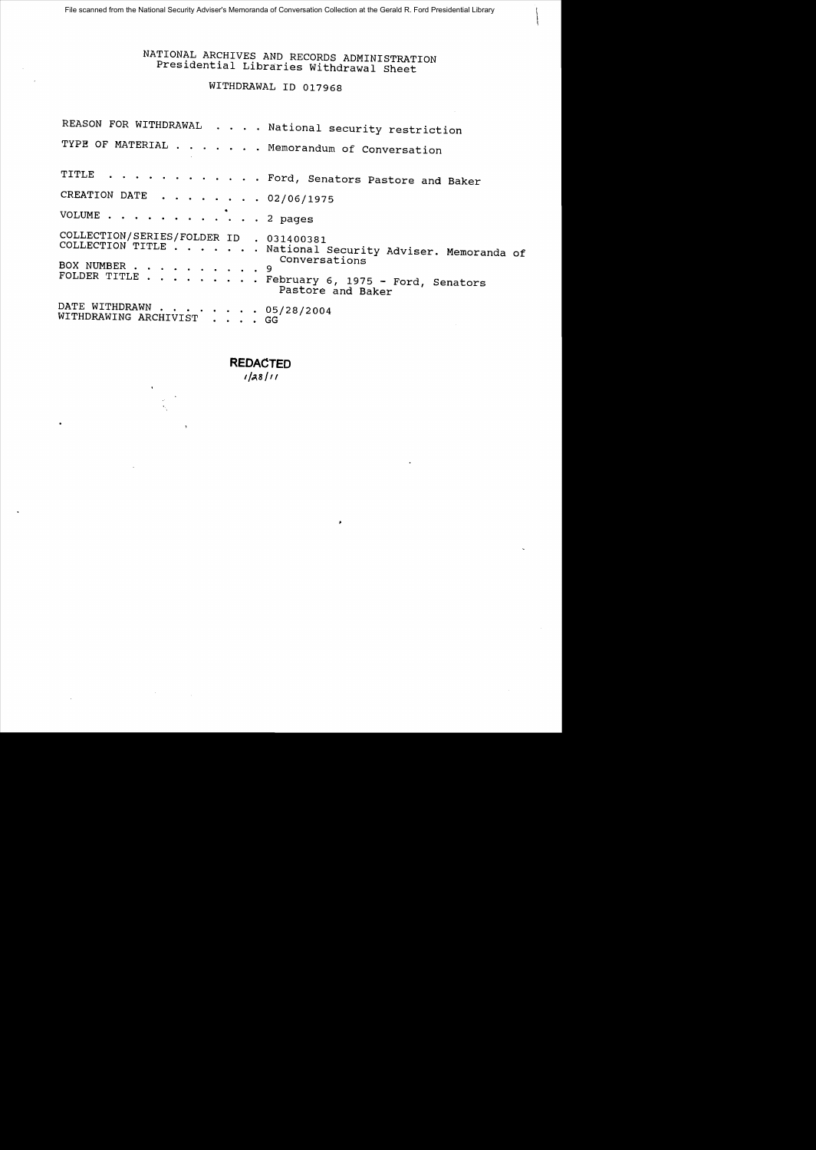# NATIONAL ARCHIVES AND RECORDS ADMINISTRATION Presidential Libraries Withdrawal Sheet

## WITHDRAWAL 10 017968

| REASON FOR WITHDRAWAL National security restriction                                                                                                                                                                                               |
|---------------------------------------------------------------------------------------------------------------------------------------------------------------------------------------------------------------------------------------------------|
| TYPE OF MATERIAL Memorandum of Conversation                                                                                                                                                                                                       |
| TITLE Ford, Senators Pastore and Baker                                                                                                                                                                                                            |
| CREATION DATE 02/06/1975                                                                                                                                                                                                                          |
| VOLUME 2 pages                                                                                                                                                                                                                                    |
| COLLECTION/SERIES/FOLDER ID . 031400381<br>COLLECTION TITLE National Security Adviser. Memoranda of<br>Conversations<br>BOX NUMBER 9<br>FOLDER TITLE $\cdots$ $\cdots$ $\cdots$ $\cdots$ . February 6, 1975 - Ford, Senators<br>Pastore and Baker |
| DATE WITHDRAWN $\cdots$ 05/28/2004<br>WITHDRAWING ARCHIVIST GG                                                                                                                                                                                    |

×

**REDACTED** 

*'/",8/1/*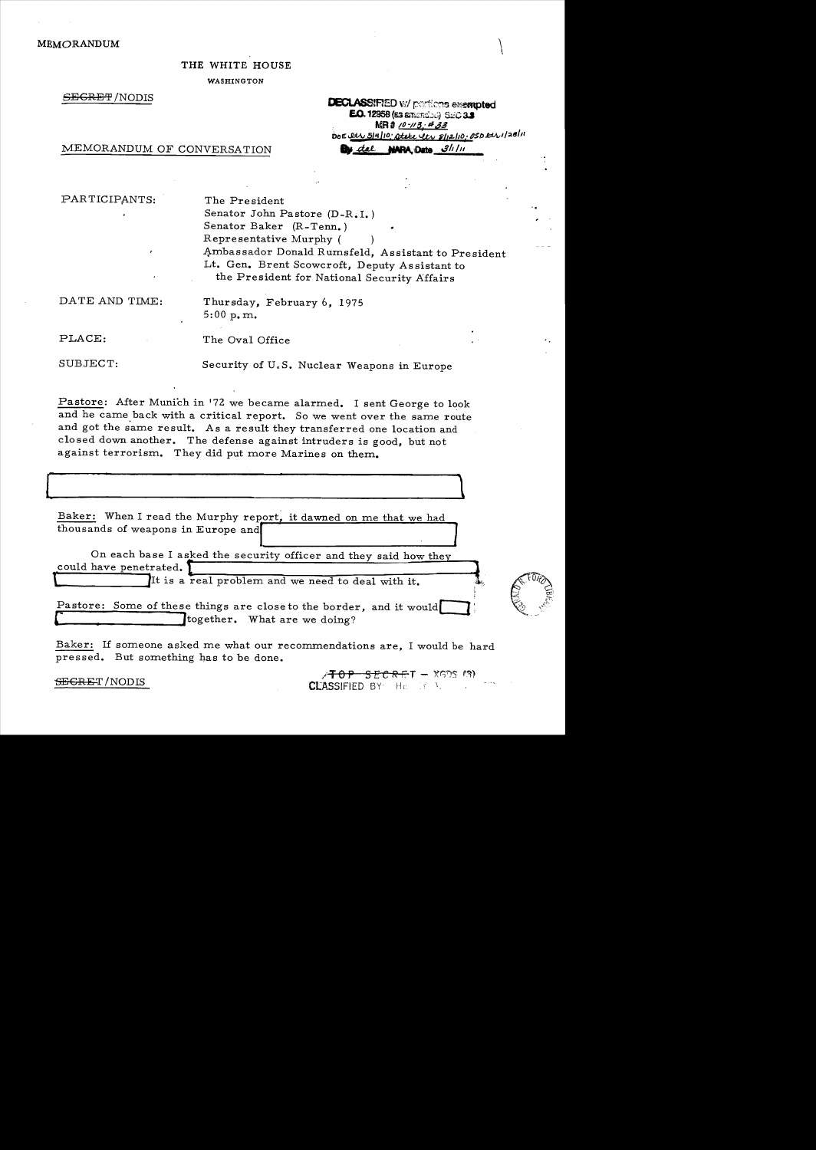## $MEMORANDUM$

## THE WHITE HOUSE

WASHINGTON

 $SEGREF/NODIS$ 

| <b>DECLASSIFIED W/ pertions exempted</b>      |  |
|-----------------------------------------------|--|
| <b>E.O. 12958 (63 BTICHOLA) SEC 3.3</b>       |  |
| MR# 10-113 #33                                |  |
| DOE RW 514/10, atere et s/12/10, 0SD EU 120/1 |  |
| <b>By dal NADA Data</b> 3/1/11                |  |

MEMORANDUM OF CONVERSATION

| PARTICIPANTS:<br>, | The President<br>Senator John Pastore $(D-R, I, I)$<br>Senator Baker (R-Tenn.)<br>Representative Murphy (<br>Ambassador Donald Rumsfeld, Assistant to President<br>Lt. Gen. Brent Scowcroft, Deputy Assistant to<br>the President for National Security Affairs |
|--------------------|-----------------------------------------------------------------------------------------------------------------------------------------------------------------------------------------------------------------------------------------------------------------|
| DATE AND TIME:     | Thursday, February 6, 1975<br>5:00 p.m.                                                                                                                                                                                                                         |
| PLACE:             | The Oval Office                                                                                                                                                                                                                                                 |
| SUBJECT:           | Security of U.S. Nuclear Weapons in Europe                                                                                                                                                                                                                      |

Pastore: After Munich in '72 we became alarmed. I sent George to look and he came back with a critical report. So we went over the same route and got the same result. As a result they transferred one location and closed down another. The defense against intruders is good, but not against terrorism. They did put more Marines on them.

Baker: When I read the Murphy report, it dawned on me that we had thousands of weapons in Europe and

**P**  $\qquad \qquad \qquad$ 

On each base I asked the security officer and they said how they could have penetrated. tl\_\_ \_\_~~\_\_\_\_ \_\_\_\_\_\_~~\_\_~~\_\_~~----------11 t lIt is a real problem and we need to deal with it. ~:

Pastore: Some of these things are close to the border, and it would together. What are we doing?

Baker: If someone asked me what our recommendations are, I would be hard pressed. But something has to be done.

*/' TOP SECRET* / NODIS  $\overline{C}$  /  $\overline{C}$  /  $\overline{C}$  /  $\overline{C}$  /  $\overline{C}$  /  $\overline{C}$  /  $\overline{C}$  /  $\overline{C}$  /  $\overline{C}$  /  $\overline{C}$  /  $\overline{C}$  /  $\overline{C}$  /  $\overline{C}$  /  $\overline{C}$  /  $\overline{C}$  /  $\overline{C}$  /  $\overline{C}$  /  $\overline{C}$  /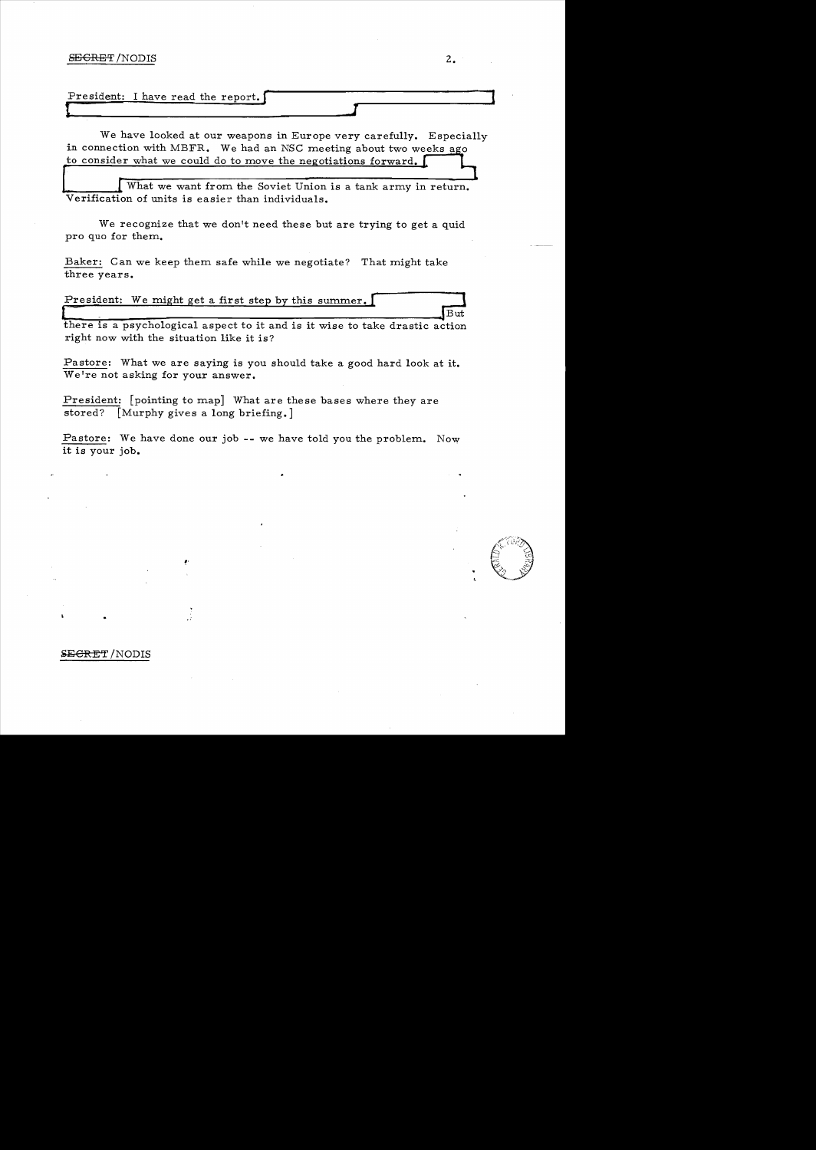### SECRET / NODIS 2.

We have looked at our weapons in Europe very carefully. Especially in connection with MBFR. We had an NSC meeting about two weeks ago to consider what we could do to move the negotiations forward.

What we want from the Soviet Union is a tank army in return.<br>Verification of units is easier than individuals.

We recognize that we don't need these but are trying to get a quid pro quo for them.

Baker: Can we keep them safe while we negotiate? That might take three years.

| President: We might get a first step by this summer. |  |
|------------------------------------------------------|--|
|                                                      |  |

there is a psychological aspect to it and is it wise to take drastic action right now with the situation like it is?

Pastore: What we are saying is you should take a good hard look at it. We're not asking for your answer.

President: [pointing to map] What are these bases where they are stored? [Murphy gives a long briefing.]

~'

Pastore: We have done our job -- we have told you the problem. Now it is your job.



#### **SECRET** / NODIS

**I**